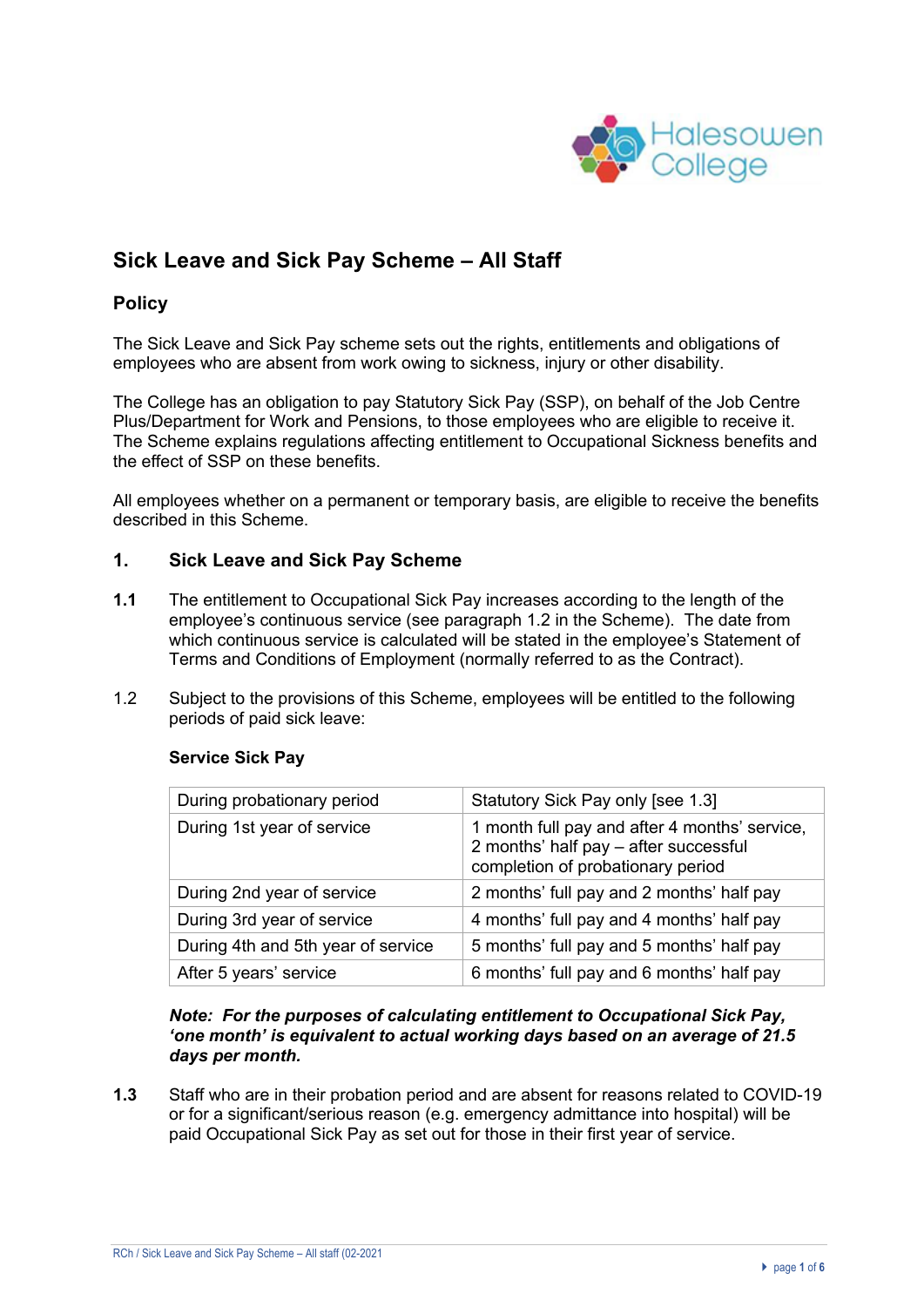

# **Sick Leave and Sick Pay Scheme – All Staff**

# **Policy**

The Sick Leave and Sick Pay scheme sets out the rights, entitlements and obligations of employees who are absent from work owing to sickness, injury or other disability.

The College has an obligation to pay Statutory Sick Pay (SSP), on behalf of the Job Centre Plus/Department for Work and Pensions, to those employees who are eligible to receive it. The Scheme explains regulations affecting entitlement to Occupational Sickness benefits and the effect of SSP on these benefits.

All employees whether on a permanent or temporary basis, are eligible to receive the benefits described in this Scheme.

#### **1. Sick Leave and Sick Pay Scheme**

- **1.1** The entitlement to Occupational Sick Pay increases according to the length of the employee's continuous service (see paragraph 1.2 in the Scheme). The date from which continuous service is calculated will be stated in the employee's Statement of Terms and Conditions of Employment (normally referred to as the Contract).
- 1.2 Subject to the provisions of this Scheme, employees will be entitled to the following periods of paid sick leave:

| During probationary period         | Statutory Sick Pay only [see 1.3]                                                                                           |
|------------------------------------|-----------------------------------------------------------------------------------------------------------------------------|
| During 1st year of service         | 1 month full pay and after 4 months' service,<br>2 months' half pay - after successful<br>completion of probationary period |
| During 2nd year of service         | 2 months' full pay and 2 months' half pay                                                                                   |
| During 3rd year of service         | 4 months' full pay and 4 months' half pay                                                                                   |
| During 4th and 5th year of service | 5 months' full pay and 5 months' half pay                                                                                   |
| After 5 years' service             | 6 months' full pay and 6 months' half pay                                                                                   |

#### **Service Sick Pay**

#### *Note: For the purposes of calculating entitlement to Occupational Sick Pay, 'one month' is equivalent to actual working days based on an average of 21.5 days per month.*

**1.3** Staff who are in their probation period and are absent for reasons related to COVID-19 or for a significant/serious reason (e.g. emergency admittance into hospital) will be paid Occupational Sick Pay as set out for those in their first year of service.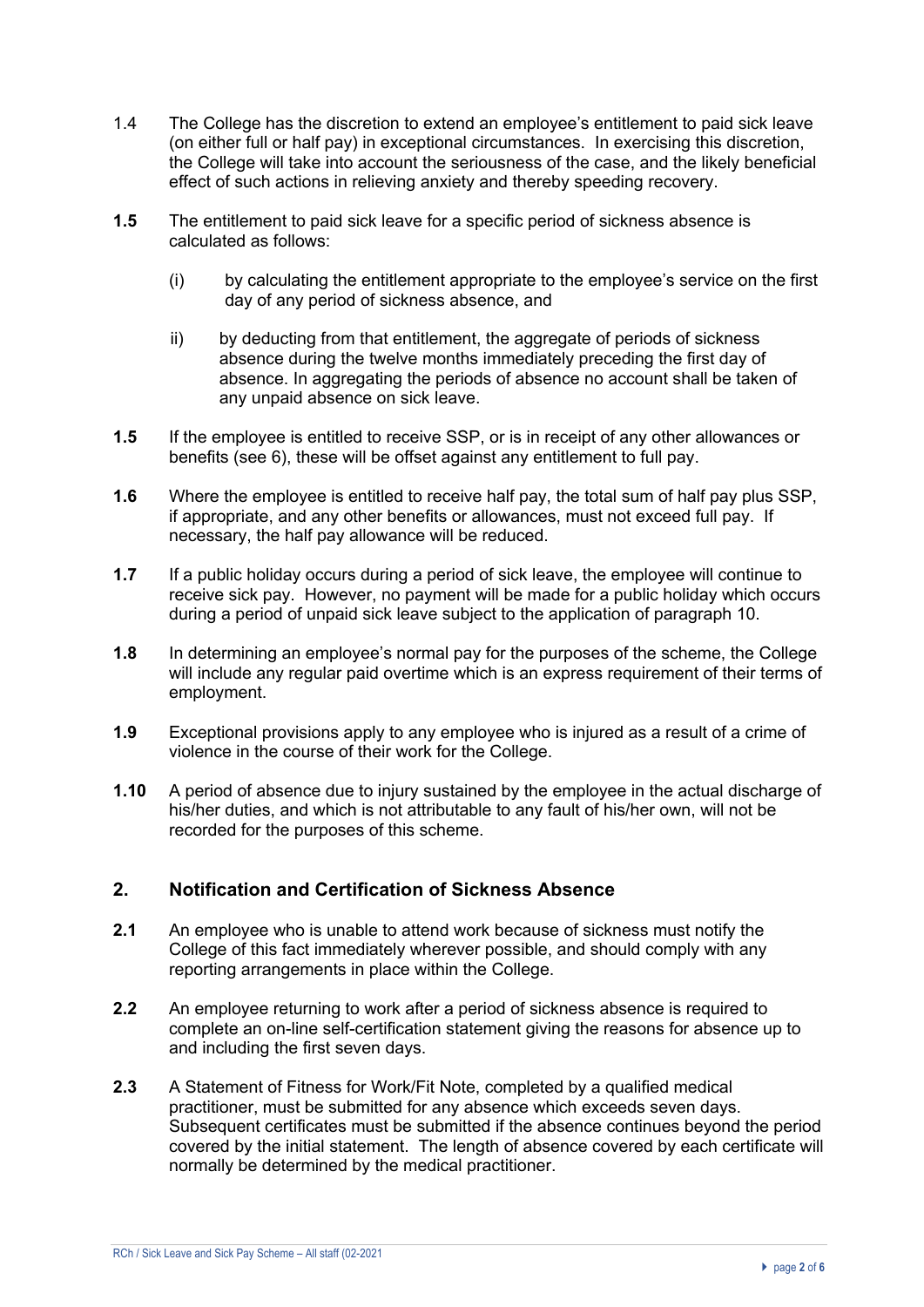- 1.4 The College has the discretion to extend an employee's entitlement to paid sick leave (on either full or half pay) in exceptional circumstances. In exercising this discretion, the College will take into account the seriousness of the case, and the likely beneficial effect of such actions in relieving anxiety and thereby speeding recovery.
- **1.5** The entitlement to paid sick leave for a specific period of sickness absence is calculated as follows:
	- (i) by calculating the entitlement appropriate to the employee's service on the first day of any period of sickness absence, and
	- ii) by deducting from that entitlement, the aggregate of periods of sickness absence during the twelve months immediately preceding the first day of absence. In aggregating the periods of absence no account shall be taken of any unpaid absence on sick leave.
- **1.5** If the employee is entitled to receive SSP, or is in receipt of any other allowances or benefits (see 6), these will be offset against any entitlement to full pay.
- **1.6** Where the employee is entitled to receive half pay, the total sum of half pay plus SSP, if appropriate, and any other benefits or allowances, must not exceed full pay. If necessary, the half pay allowance will be reduced.
- **1.7** If a public holiday occurs during a period of sick leave, the employee will continue to receive sick pay. However, no payment will be made for a public holiday which occurs during a period of unpaid sick leave subject to the application of paragraph 10.
- **1.8** In determining an employee's normal pay for the purposes of the scheme, the College will include any regular paid overtime which is an express requirement of their terms of employment.
- **1.9** Exceptional provisions apply to any employee who is injured as a result of a crime of violence in the course of their work for the College.
- **1.10** A period of absence due to injury sustained by the employee in the actual discharge of his/her duties, and which is not attributable to any fault of his/her own, will not be recorded for the purposes of this scheme.

# **2. Notification and Certification of Sickness Absence**

- **2.1** An employee who is unable to attend work because of sickness must notify the College of this fact immediately wherever possible, and should comply with any reporting arrangements in place within the College.
- **2.2** An employee returning to work after a period of sickness absence is required to complete an on-line self-certification statement giving the reasons for absence up to and including the first seven days.
- **2.3** A Statement of Fitness for Work/Fit Note, completed by a qualified medical practitioner, must be submitted for any absence which exceeds seven days. Subsequent certificates must be submitted if the absence continues beyond the period covered by the initial statement. The length of absence covered by each certificate will normally be determined by the medical practitioner.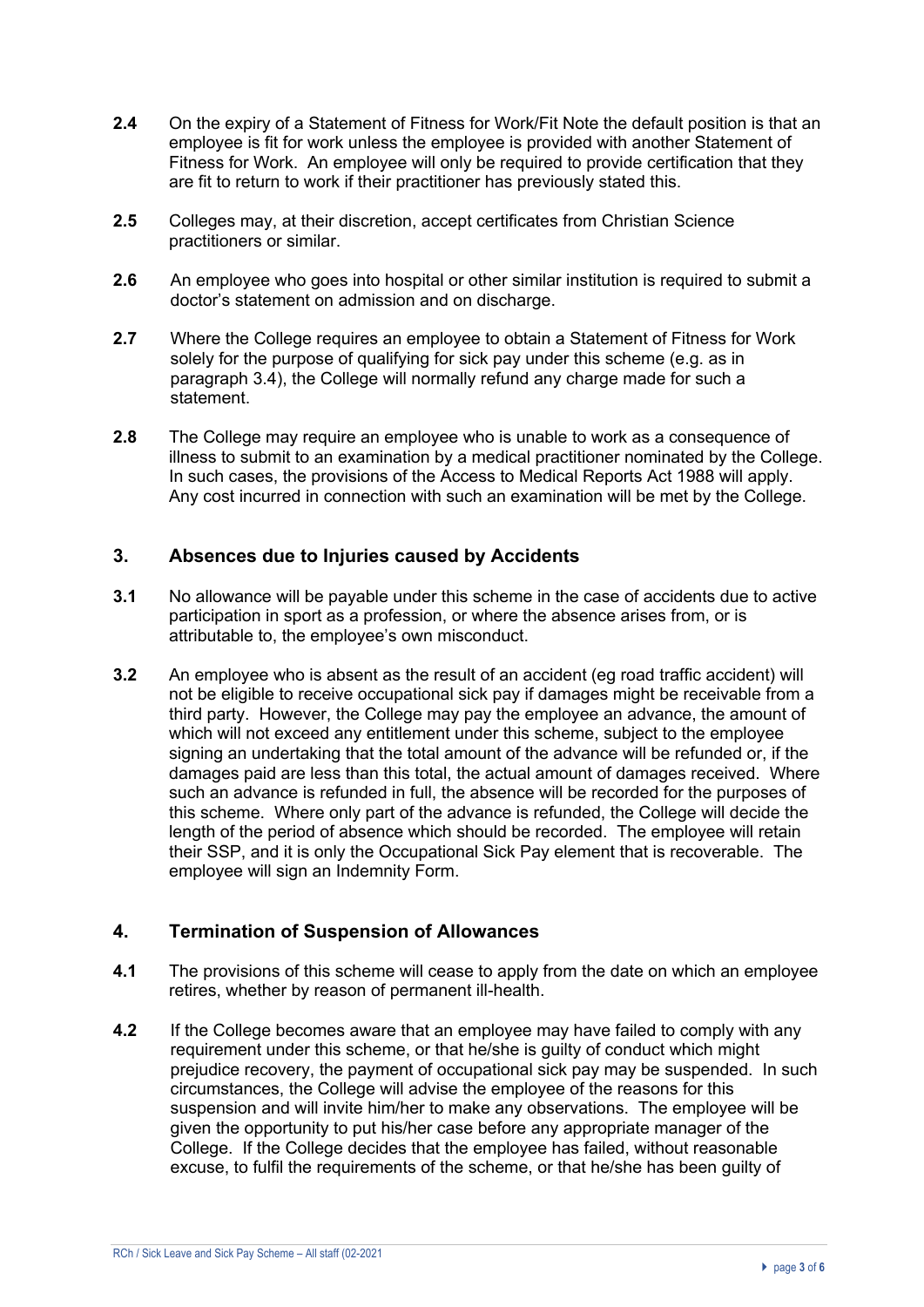- **2.4** On the expiry of a Statement of Fitness for Work/Fit Note the default position is that an employee is fit for work unless the employee is provided with another Statement of Fitness for Work. An employee will only be required to provide certification that they are fit to return to work if their practitioner has previously stated this.
- **2.5** Colleges may, at their discretion, accept certificates from Christian Science practitioners or similar.
- **2.6** An employee who goes into hospital or other similar institution is required to submit a doctor's statement on admission and on discharge.
- **2.7** Where the College requires an employee to obtain a Statement of Fitness for Work solely for the purpose of qualifying for sick pay under this scheme (e.g. as in paragraph 3.4), the College will normally refund any charge made for such a statement.
- **2.8** The College may require an employee who is unable to work as a consequence of illness to submit to an examination by a medical practitioner nominated by the College. In such cases, the provisions of the Access to Medical Reports Act 1988 will apply. Any cost incurred in connection with such an examination will be met by the College.

## **3. Absences due to Injuries caused by Accidents**

- **3.1** No allowance will be payable under this scheme in the case of accidents due to active participation in sport as a profession, or where the absence arises from, or is attributable to, the employee's own misconduct.
- **3.2** An employee who is absent as the result of an accident (eg road traffic accident) will not be eligible to receive occupational sick pay if damages might be receivable from a third party. However, the College may pay the employee an advance, the amount of which will not exceed any entitlement under this scheme, subject to the employee signing an undertaking that the total amount of the advance will be refunded or, if the damages paid are less than this total, the actual amount of damages received. Where such an advance is refunded in full, the absence will be recorded for the purposes of this scheme. Where only part of the advance is refunded, the College will decide the length of the period of absence which should be recorded. The employee will retain their SSP, and it is only the Occupational Sick Pay element that is recoverable. The employee will sign an Indemnity Form.

# **4. Termination of Suspension of Allowances**

- **4.1** The provisions of this scheme will cease to apply from the date on which an employee retires, whether by reason of permanent ill-health.
- **4.2** If the College becomes aware that an employee may have failed to comply with any requirement under this scheme, or that he/she is guilty of conduct which might prejudice recovery, the payment of occupational sick pay may be suspended. In such circumstances, the College will advise the employee of the reasons for this suspension and will invite him/her to make any observations. The employee will be given the opportunity to put his/her case before any appropriate manager of the College. If the College decides that the employee has failed, without reasonable excuse, to fulfil the requirements of the scheme, or that he/she has been guilty of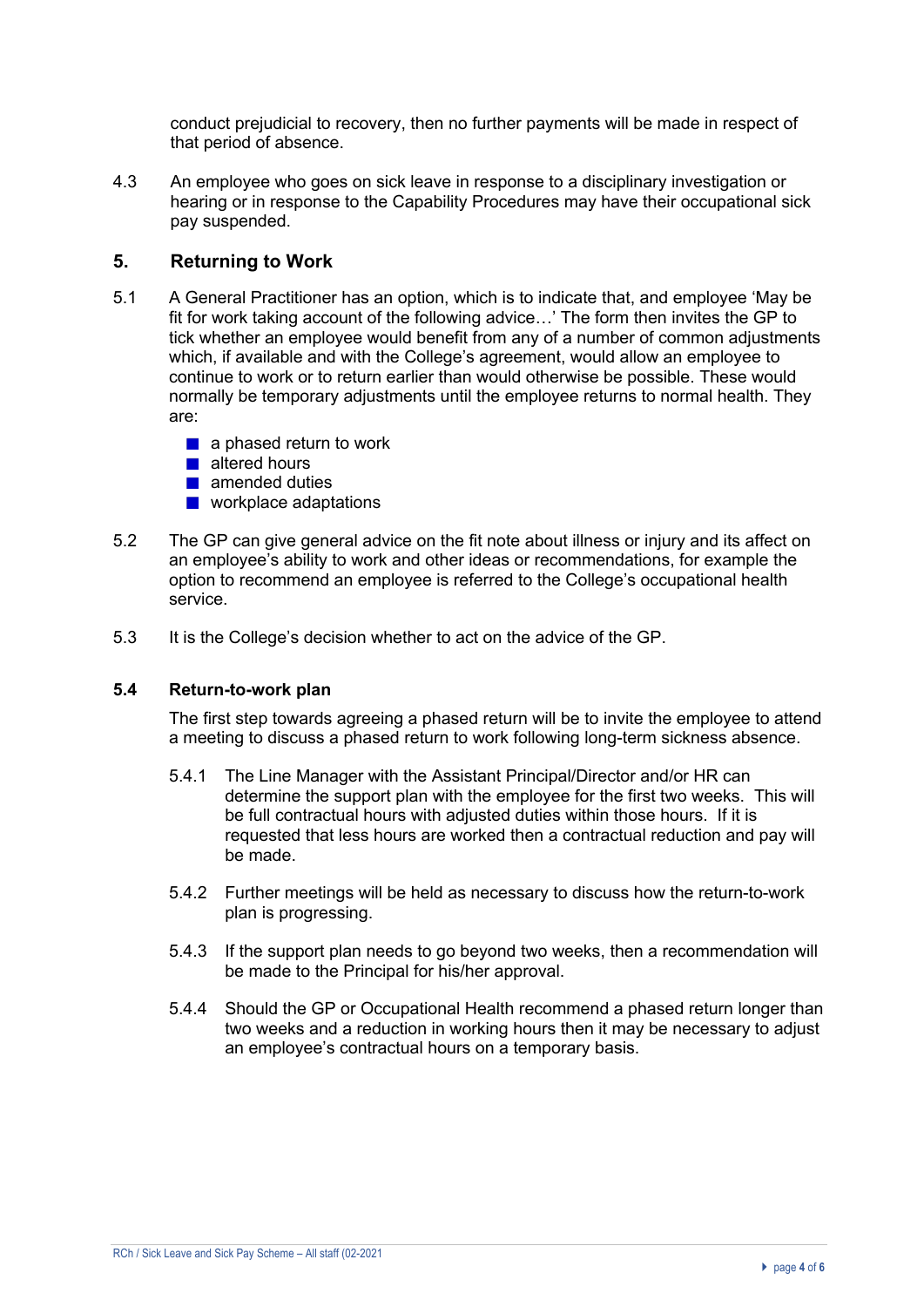conduct prejudicial to recovery, then no further payments will be made in respect of that period of absence.

4.3 An employee who goes on sick leave in response to a disciplinary investigation or hearing or in response to the Capability Procedures may have their occupational sick pay suspended.

## **5. Returning to Work**

- 5.1 A General Practitioner has an option, which is to indicate that, and employee 'May be fit for work taking account of the following advice…' The form then invites the GP to tick whether an employee would benefit from any of a number of common adjustments which, if available and with the College's agreement, would allow an employee to continue to work or to return earlier than would otherwise be possible. These would normally be temporary adjustments until the employee returns to normal health. They are:
	- $\blacksquare$  a phased return to work
	- altered hours
	- **amended duties**
	- **N** workplace adaptations
- 5.2 The GP can give general advice on the fit note about illness or injury and its affect on an employee's ability to work and other ideas or recommendations, for example the option to recommend an employee is referred to the College's occupational health service.
- 5.3 It is the College's decision whether to act on the advice of the GP.

#### **5.4 Return-to-work plan**

The first step towards agreeing a phased return will be to invite the employee to attend a meeting to discuss a phased return to work following long-term sickness absence.

- 5.4.1 The Line Manager with the Assistant Principal/Director and/or HR can determine the support plan with the employee for the first two weeks. This will be full contractual hours with adjusted duties within those hours. If it is requested that less hours are worked then a contractual reduction and pay will be made.
- 5.4.2 Further meetings will be held as necessary to discuss how the return-to-work plan is progressing.
- 5.4.3 If the support plan needs to go beyond two weeks, then a recommendation will be made to the Principal for his/her approval.
- 5.4.4 Should the GP or Occupational Health recommend a phased return longer than two weeks and a reduction in working hours then it may be necessary to adjust an employee's contractual hours on a temporary basis.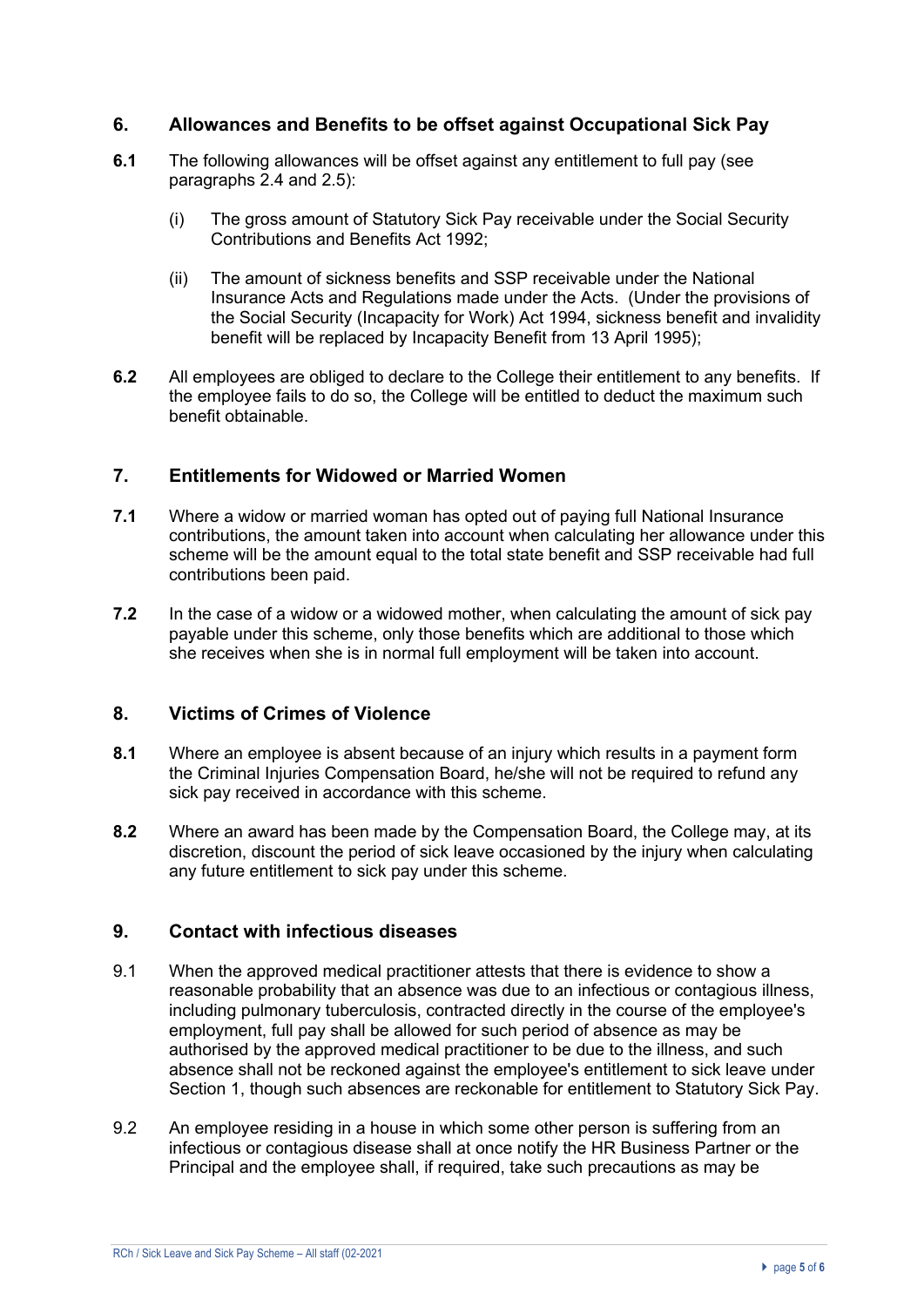## **6. Allowances and Benefits to be offset against Occupational Sick Pay**

- **6.1** The following allowances will be offset against any entitlement to full pay (see paragraphs 2.4 and 2.5):
	- (i) The gross amount of Statutory Sick Pay receivable under the Social Security Contributions and Benefits Act 1992;
	- (ii) The amount of sickness benefits and SSP receivable under the National Insurance Acts and Regulations made under the Acts. (Under the provisions of the Social Security (Incapacity for Work) Act 1994, sickness benefit and invalidity benefit will be replaced by Incapacity Benefit from 13 April 1995);
- **6.2** All employees are obliged to declare to the College their entitlement to any benefits. If the employee fails to do so, the College will be entitled to deduct the maximum such benefit obtainable.

# **7. Entitlements for Widowed or Married Women**

- **7.1** Where a widow or married woman has opted out of paying full National Insurance contributions, the amount taken into account when calculating her allowance under this scheme will be the amount equal to the total state benefit and SSP receivable had full contributions been paid.
- **7.2** In the case of a widow or a widowed mother, when calculating the amount of sick pay payable under this scheme, only those benefits which are additional to those which she receives when she is in normal full employment will be taken into account.

#### **8. Victims of Crimes of Violence**

- **8.1** Where an employee is absent because of an injury which results in a payment form the Criminal Injuries Compensation Board, he/she will not be required to refund any sick pay received in accordance with this scheme.
- **8.2** Where an award has been made by the Compensation Board, the College may, at its discretion, discount the period of sick leave occasioned by the injury when calculating any future entitlement to sick pay under this scheme.

#### **9. Contact with infectious diseases**

- 9.1 When the approved medical practitioner attests that there is evidence to show a reasonable probability that an absence was due to an infectious or contagious illness, including pulmonary tuberculosis, contracted directly in the course of the employee's employment, full pay shall be allowed for such period of absence as may be authorised by the approved medical practitioner to be due to the illness, and such absence shall not be reckoned against the employee's entitlement to sick leave under Section 1, though such absences are reckonable for entitlement to Statutory Sick Pay.
- 9.2 An employee residing in a house in which some other person is suffering from an infectious or contagious disease shall at once notify the HR Business Partner or the Principal and the employee shall, if required, take such precautions as may be